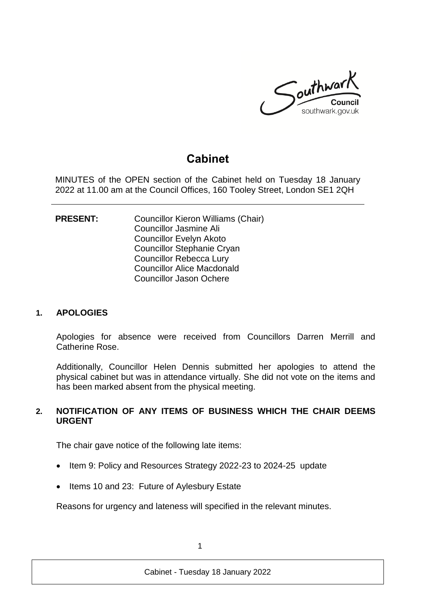

# **Cabinet**

MINUTES of the OPEN section of the Cabinet held on Tuesday 18 January 2022 at 11.00 am at the Council Offices, 160 Tooley Street, London SE1 2QH

**PRESENT:** Councillor Kieron Williams (Chair) Councillor Jasmine Ali Councillor Evelyn Akoto Councillor Stephanie Cryan Councillor Rebecca Lury Councillor Alice Macdonald Councillor Jason Ochere

#### **1. APOLOGIES**

Apologies for absence were received from Councillors Darren Merrill and Catherine Rose.

Additionally, Councillor Helen Dennis submitted her apologies to attend the physical cabinet but was in attendance virtually. She did not vote on the items and has been marked absent from the physical meeting.

#### **2. NOTIFICATION OF ANY ITEMS OF BUSINESS WHICH THE CHAIR DEEMS URGENT**

The chair gave notice of the following late items:

- Item 9: Policy and Resources Strategy 2022-23 to 2024-25 update
- Items 10 and 23: Future of Aylesbury Estate

Reasons for urgency and lateness will specified in the relevant minutes.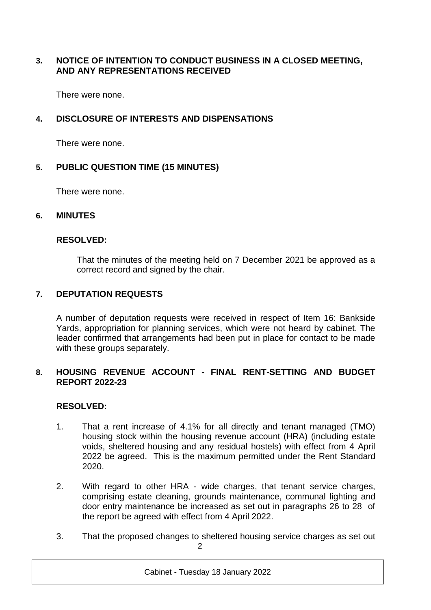### **3. NOTICE OF INTENTION TO CONDUCT BUSINESS IN A CLOSED MEETING, AND ANY REPRESENTATIONS RECEIVED**

There were none.

# **4. DISCLOSURE OF INTERESTS AND DISPENSATIONS**

There were none.

### **5. PUBLIC QUESTION TIME (15 MINUTES)**

There were none.

### **6. MINUTES**

### **RESOLVED:**

That the minutes of the meeting held on 7 December 2021 be approved as a correct record and signed by the chair.

### **7. DEPUTATION REQUESTS**

A number of deputation requests were received in respect of Item 16: Bankside Yards, appropriation for planning services, which were not heard by cabinet. The leader confirmed that arrangements had been put in place for contact to be made with these groups separately.

### **8. HOUSING REVENUE ACCOUNT - FINAL RENT-SETTING AND BUDGET REPORT 2022-23**

### **RESOLVED:**

- 1. That a rent increase of 4.1% for all directly and tenant managed (TMO) housing stock within the housing revenue account (HRA) (including estate voids, sheltered housing and any residual hostels) with effect from 4 April 2022 be agreed. This is the maximum permitted under the Rent Standard 2020.
- 2. With regard to other HRA wide charges, that tenant service charges, comprising estate cleaning, grounds maintenance, communal lighting and door entry maintenance be increased as set out in paragraphs 26 to 28 of the report be agreed with effect from 4 April 2022.
- $\mathfrak{D}$ 3. That the proposed changes to sheltered housing service charges as set out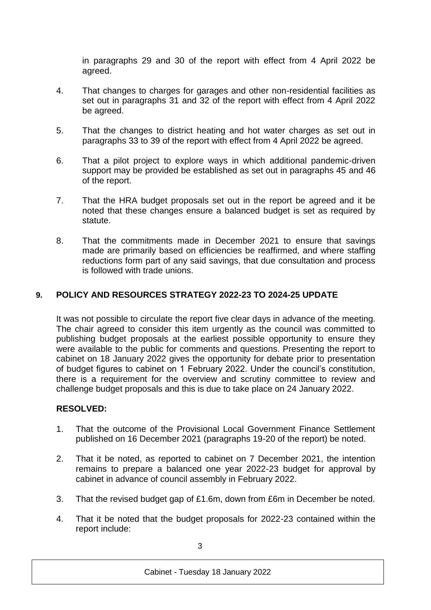in paragraphs 29 and 30 of the report with effect from 4 April 2022 be agreed.

- 4. That changes to charges for garages and other non-residential facilities as set out in paragraphs 31 and 32 of the report with effect from 4 April 2022 be agreed.
- 5. That the changes to district heating and hot water charges as set out in paragraphs 33 to 39 of the report with effect from 4 April 2022 be agreed.
- 6. That a pilot project to explore ways in which additional pandemic-driven support may be provided be established as set out in paragraphs 45 and 46 of the report.
- 7. That the HRA budget proposals set out in the report be agreed and it be noted that these changes ensure a balanced budget is set as required by statute.
- 8. That the commitments made in December 2021 to ensure that savings made are primarily based on efficiencies be reaffirmed, and where staffing reductions form part of any said savings, that due consultation and process is followed with trade unions.

# **9. POLICY AND RESOURCES STRATEGY 2022-23 TO 2024-25 UPDATE**

It was not possible to circulate the report five clear days in advance of the meeting. The chair agreed to consider this item urgently as the council was committed to publishing budget proposals at the earliest possible opportunity to ensure they were available to the public for comments and questions. Presenting the report to cabinet on 18 January 2022 gives the opportunity for debate prior to presentation of budget figures to cabinet on 1 February 2022. Under the council's constitution, there is a requirement for the overview and scrutiny committee to review and challenge budget proposals and this is due to take place on 24 January 2022.

### **RESOLVED:**

- 1. That the outcome of the Provisional Local Government Finance Settlement published on 16 December 2021 (paragraphs 19-20 of the report) be noted.
- 2. That it be noted, as reported to cabinet on 7 December 2021, the intention remains to prepare a balanced one year 2022-23 budget for approval by cabinet in advance of council assembly in February 2022.
- 3. That the revised budget gap of £1.6m, down from £6m in December be noted.
- 4. That it be noted that the budget proposals for 2022-23 contained within the report include: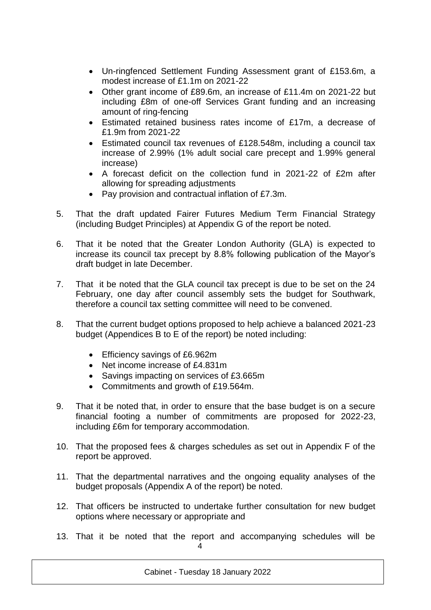- Un-ringfenced Settlement Funding Assessment grant of £153.6m, a modest increase of £1.1m on 2021-22
- Other grant income of £89.6m, an increase of £11.4m on 2021-22 but including £8m of one-off Services Grant funding and an increasing amount of ring-fencing
- Estimated retained business rates income of £17m, a decrease of £1.9m from 2021-22
- Estimated council tax revenues of £128.548m, including a council tax increase of 2.99% (1% adult social care precept and 1.99% general increase)
- A forecast deficit on the collection fund in 2021-22 of £2m after allowing for spreading adjustments
- Pay provision and contractual inflation of £7.3m.
- 5. That the draft updated Fairer Futures Medium Term Financial Strategy (including Budget Principles) at Appendix G of the report be noted.
- 6. That it be noted that the Greater London Authority (GLA) is expected to increase its council tax precept by 8.8% following publication of the Mayor's draft budget in late December.
- 7. That it be noted that the GLA council tax precept is due to be set on the 24 February, one day after council assembly sets the budget for Southwark, therefore a council tax setting committee will need to be convened.
- 8. That the current budget options proposed to help achieve a balanced 2021-23 budget (Appendices B to E of the report) be noted including:
	- Efficiency savings of £6.962m
	- Net income increase of £4.831m
	- Savings impacting on services of £3.665m
	- Commitments and growth of £19.564m.
- 9. That it be noted that, in order to ensure that the base budget is on a secure financial footing a number of commitments are proposed for 2022-23, including £6m for temporary accommodation.
- 10. That the proposed fees & charges schedules as set out in Appendix F of the report be approved.
- 11. That the departmental narratives and the ongoing equality analyses of the budget proposals (Appendix A of the report) be noted.
- 12. That officers be instructed to undertake further consultation for new budget options where necessary or appropriate and
- 4 13. That it be noted that the report and accompanying schedules will be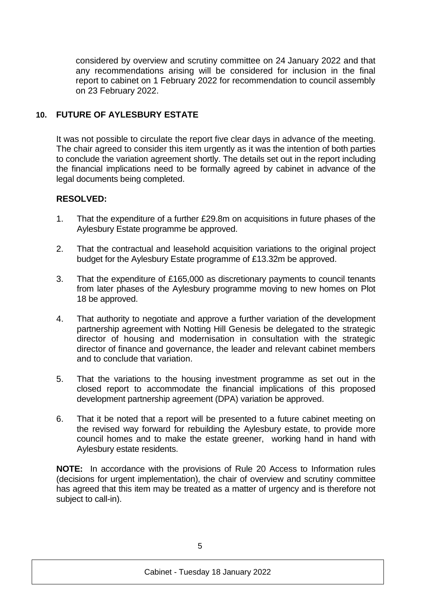considered by overview and scrutiny committee on 24 January 2022 and that any recommendations arising will be considered for inclusion in the final report to cabinet on 1 February 2022 for recommendation to council assembly on 23 February 2022.

# **10. FUTURE OF AYLESBURY ESTATE**

It was not possible to circulate the report five clear days in advance of the meeting. The chair agreed to consider this item urgently as it was the intention of both parties to conclude the variation agreement shortly. The details set out in the report including the financial implications need to be formally agreed by cabinet in advance of the legal documents being completed.

### **RESOLVED:**

- 1. That the expenditure of a further £29.8m on acquisitions in future phases of the Aylesbury Estate programme be approved.
- 2. That the contractual and leasehold acquisition variations to the original project budget for the Aylesbury Estate programme of £13.32m be approved.
- 3. That the expenditure of £165,000 as discretionary payments to council tenants from later phases of the Aylesbury programme moving to new homes on Plot 18 be approved.
- 4. That authority to negotiate and approve a further variation of the development partnership agreement with Notting Hill Genesis be delegated to the strategic director of housing and modernisation in consultation with the strategic director of finance and governance, the leader and relevant cabinet members and to conclude that variation.
- 5. That the variations to the housing investment programme as set out in the closed report to accommodate the financial implications of this proposed development partnership agreement (DPA) variation be approved.
- 6. That it be noted that a report will be presented to a future cabinet meeting on the revised way forward for rebuilding the Aylesbury estate, to provide more council homes and to make the estate greener, working hand in hand with Aylesbury estate residents.

**NOTE:** In accordance with the provisions of Rule 20 Access to Information rules (decisions for urgent implementation), the chair of overview and scrutiny committee has agreed that this item may be treated as a matter of urgency and is therefore not subject to call-in).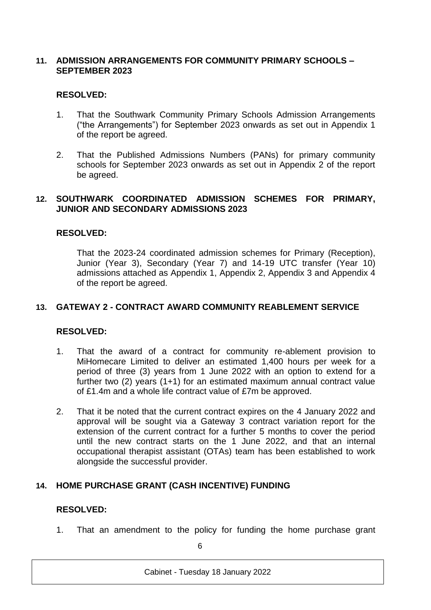### **11. ADMISSION ARRANGEMENTS FOR COMMUNITY PRIMARY SCHOOLS – SEPTEMBER 2023**

### **RESOLVED:**

- 1. That the Southwark Community Primary Schools Admission Arrangements ("the Arrangements") for September 2023 onwards as set out in Appendix 1 of the report be agreed.
- 2. That the Published Admissions Numbers (PANs) for primary community schools for September 2023 onwards as set out in Appendix 2 of the report be agreed.

#### **12. SOUTHWARK COORDINATED ADMISSION SCHEMES FOR PRIMARY, JUNIOR AND SECONDARY ADMISSIONS 2023**

### **RESOLVED:**

That the 2023-24 coordinated admission schemes for Primary (Reception), Junior (Year 3), Secondary (Year 7) and 14-19 UTC transfer (Year 10) admissions attached as Appendix 1, Appendix 2, Appendix 3 and Appendix 4 of the report be agreed.

#### **13. GATEWAY 2 - CONTRACT AWARD COMMUNITY REABLEMENT SERVICE**

#### **RESOLVED:**

- 1. That the award of a contract for community re-ablement provision to MiHomecare Limited to deliver an estimated 1,400 hours per week for a period of three (3) years from 1 June 2022 with an option to extend for a further two (2) years (1+1) for an estimated maximum annual contract value of £1.4m and a whole life contract value of £7m be approved.
- 2. That it be noted that the current contract expires on the 4 January 2022 and approval will be sought via a Gateway 3 contract variation report for the extension of the current contract for a further 5 months to cover the period until the new contract starts on the 1 June 2022, and that an internal occupational therapist assistant (OTAs) team has been established to work alongside the successful provider.

### **14. HOME PURCHASE GRANT (CASH INCENTIVE) FUNDING**

#### **RESOLVED:**

1. That an amendment to the policy for funding the home purchase grant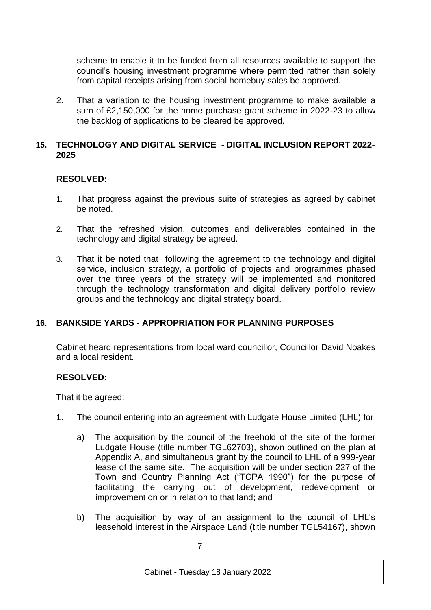scheme to enable it to be funded from all resources available to support the council's housing investment programme where permitted rather than solely from capital receipts arising from social homebuy sales be approved.

2. That a variation to the housing investment programme to make available a sum of £2,150,000 for the home purchase grant scheme in 2022-23 to allow the backlog of applications to be cleared be approved.

### **15. TECHNOLOGY AND DIGITAL SERVICE - DIGITAL INCLUSION REPORT 2022- 2025**

### **RESOLVED:**

- 1. That progress against the previous suite of strategies as agreed by cabinet be noted.
- 2. That the refreshed vision, outcomes and deliverables contained in the technology and digital strategy be agreed.
- 3. That it be noted that following the agreement to the technology and digital service, inclusion strategy, a portfolio of projects and programmes phased over the three years of the strategy will be implemented and monitored through the technology transformation and digital delivery portfolio review groups and the technology and digital strategy board.

# **16. BANKSIDE YARDS - APPROPRIATION FOR PLANNING PURPOSES**

Cabinet heard representations from local ward councillor, Councillor David Noakes and a local resident.

### **RESOLVED:**

That it be agreed:

- 1. The council entering into an agreement with Ludgate House Limited (LHL) for
	- a) The acquisition by the council of the freehold of the site of the former Ludgate House (title number TGL62703), shown outlined on the plan at Appendix A, and simultaneous grant by the council to LHL of a 999-year lease of the same site. The acquisition will be under section 227 of the Town and Country Planning Act ("TCPA 1990") for the purpose of facilitating the carrying out of development, redevelopment or improvement on or in relation to that land; and
	- b) The acquisition by way of an assignment to the council of LHL's leasehold interest in the Airspace Land (title number TGL54167), shown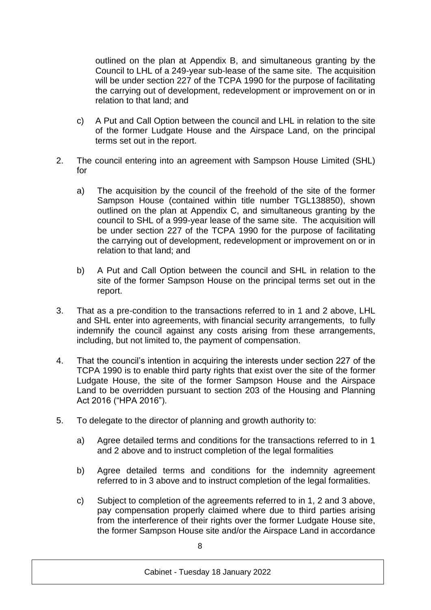outlined on the plan at Appendix B, and simultaneous granting by the Council to LHL of a 249-year sub-lease of the same site. The acquisition will be under section 227 of the TCPA 1990 for the purpose of facilitating the carrying out of development, redevelopment or improvement on or in relation to that land; and

- c) A Put and Call Option between the council and LHL in relation to the site of the former Ludgate House and the Airspace Land, on the principal terms set out in the report.
- 2. The council entering into an agreement with Sampson House Limited (SHL) for
	- a) The acquisition by the council of the freehold of the site of the former Sampson House (contained within title number TGL138850), shown outlined on the plan at Appendix C, and simultaneous granting by the council to SHL of a 999-year lease of the same site. The acquisition will be under section 227 of the TCPA 1990 for the purpose of facilitating the carrying out of development, redevelopment or improvement on or in relation to that land; and
	- b) A Put and Call Option between the council and SHL in relation to the site of the former Sampson House on the principal terms set out in the report.
- 3. That as a pre-condition to the transactions referred to in 1 and 2 above, LHL and SHL enter into agreements, with financial security arrangements, to fully indemnify the council against any costs arising from these arrangements, including, but not limited to, the payment of compensation.
- 4. That the council's intention in acquiring the interests under section 227 of the TCPA 1990 is to enable third party rights that exist over the site of the former Ludgate House, the site of the former Sampson House and the Airspace Land to be overridden pursuant to section 203 of the Housing and Planning Act 2016 ("HPA 2016").
- 5. To delegate to the director of planning and growth authority to:
	- a) Agree detailed terms and conditions for the transactions referred to in 1 and 2 above and to instruct completion of the legal formalities
	- b) Agree detailed terms and conditions for the indemnity agreement referred to in 3 above and to instruct completion of the legal formalities.
	- c) Subject to completion of the agreements referred to in 1, 2 and 3 above, pay compensation properly claimed where due to third parties arising from the interference of their rights over the former Ludgate House site, the former Sampson House site and/or the Airspace Land in accordance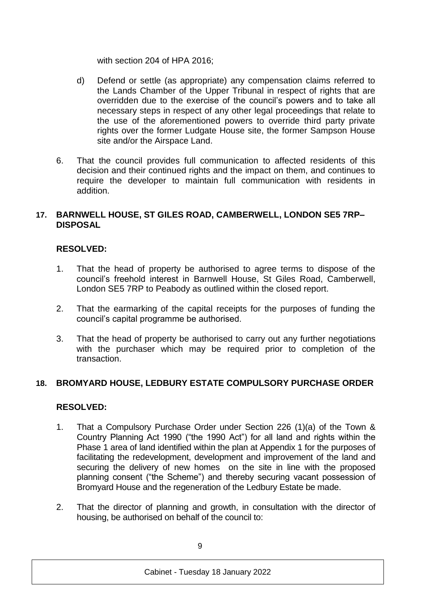with section 204 of HPA 2016;

- d) Defend or settle (as appropriate) any compensation claims referred to the Lands Chamber of the Upper Tribunal in respect of rights that are overridden due to the exercise of the council's powers and to take all necessary steps in respect of any other legal proceedings that relate to the use of the aforementioned powers to override third party private rights over the former Ludgate House site, the former Sampson House site and/or the Airspace Land.
- 6. That the council provides full communication to affected residents of this decision and their continued rights and the impact on them, and continues to require the developer to maintain full communication with residents in addition.

### **17. BARNWELL HOUSE, ST GILES ROAD, CAMBERWELL, LONDON SE5 7RP– DISPOSAL**

# **RESOLVED:**

- 1. That the head of property be authorised to agree terms to dispose of the council's freehold interest in Barnwell House, St Giles Road, Camberwell, London SE5 7RP to Peabody as outlined within the closed report.
- 2. That the earmarking of the capital receipts for the purposes of funding the council's capital programme be authorised.
- 3. That the head of property be authorised to carry out any further negotiations with the purchaser which may be required prior to completion of the transaction.

### **18. BROMYARD HOUSE, LEDBURY ESTATE COMPULSORY PURCHASE ORDER**

### **RESOLVED:**

- 1. That a Compulsory Purchase Order under Section 226 (1)(a) of the Town & Country Planning Act 1990 ("the 1990 Act") for all land and rights within the Phase 1 area of land identified within the plan at Appendix 1 for the purposes of facilitating the redevelopment, development and improvement of the land and securing the delivery of new homes on the site in line with the proposed planning consent ("the Scheme") and thereby securing vacant possession of Bromyard House and the regeneration of the Ledbury Estate be made.
- 2. That the director of planning and growth, in consultation with the director of housing, be authorised on behalf of the council to: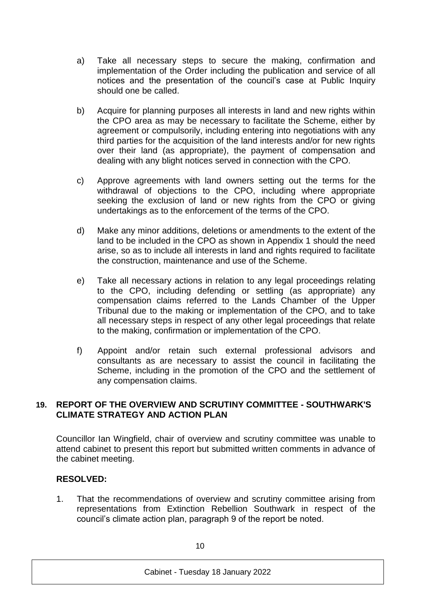- a) Take all necessary steps to secure the making, confirmation and implementation of the Order including the publication and service of all notices and the presentation of the council's case at Public Inquiry should one be called.
- b) Acquire for planning purposes all interests in land and new rights within the CPO area as may be necessary to facilitate the Scheme, either by agreement or compulsorily, including entering into negotiations with any third parties for the acquisition of the land interests and/or for new rights over their land (as appropriate), the payment of compensation and dealing with any blight notices served in connection with the CPO.
- c) Approve agreements with land owners setting out the terms for the withdrawal of objections to the CPO, including where appropriate seeking the exclusion of land or new rights from the CPO or giving undertakings as to the enforcement of the terms of the CPO.
- d) Make any minor additions, deletions or amendments to the extent of the land to be included in the CPO as shown in Appendix 1 should the need arise, so as to include all interests in land and rights required to facilitate the construction, maintenance and use of the Scheme.
- e) Take all necessary actions in relation to any legal proceedings relating to the CPO, including defending or settling (as appropriate) any compensation claims referred to the Lands Chamber of the Upper Tribunal due to the making or implementation of the CPO, and to take all necessary steps in respect of any other legal proceedings that relate to the making, confirmation or implementation of the CPO.
- f) Appoint and/or retain such external professional advisors and consultants as are necessary to assist the council in facilitating the Scheme, including in the promotion of the CPO and the settlement of any compensation claims.

### **19. REPORT OF THE OVERVIEW AND SCRUTINY COMMITTEE - SOUTHWARK'S CLIMATE STRATEGY AND ACTION PLAN**

Councillor Ian Wingfield, chair of overview and scrutiny committee was unable to attend cabinet to present this report but submitted written comments in advance of the cabinet meeting.

### **RESOLVED:**

1. That the recommendations of overview and scrutiny committee arising from representations from Extinction Rebellion Southwark in respect of the council's climate action plan, paragraph 9 of the report be noted.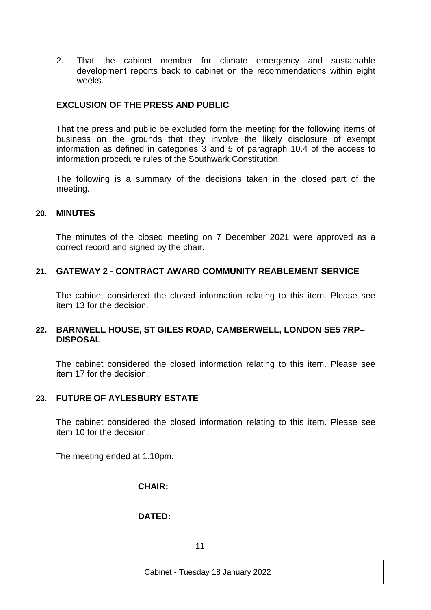2. That the cabinet member for climate emergency and sustainable development reports back to cabinet on the recommendations within eight weeks.

### **EXCLUSION OF THE PRESS AND PUBLIC**

That the press and public be excluded form the meeting for the following items of business on the grounds that they involve the likely disclosure of exempt information as defined in categories 3 and 5 of paragraph 10.4 of the access to information procedure rules of the Southwark Constitution.

The following is a summary of the decisions taken in the closed part of the meeting.

#### **20. MINUTES**

The minutes of the closed meeting on 7 December 2021 were approved as a correct record and signed by the chair.

#### **21. GATEWAY 2 - CONTRACT AWARD COMMUNITY REABLEMENT SERVICE**

The cabinet considered the closed information relating to this item. Please see item 13 for the decision.

#### **22. BARNWELL HOUSE, ST GILES ROAD, CAMBERWELL, LONDON SE5 7RP– DISPOSAL**

The cabinet considered the closed information relating to this item. Please see item 17 for the decision.

#### **23. FUTURE OF AYLESBURY ESTATE**

The cabinet considered the closed information relating to this item. Please see item 10 for the decision.

The meeting ended at 1.10pm.

#### **CHAIR:**

#### **DATED:**